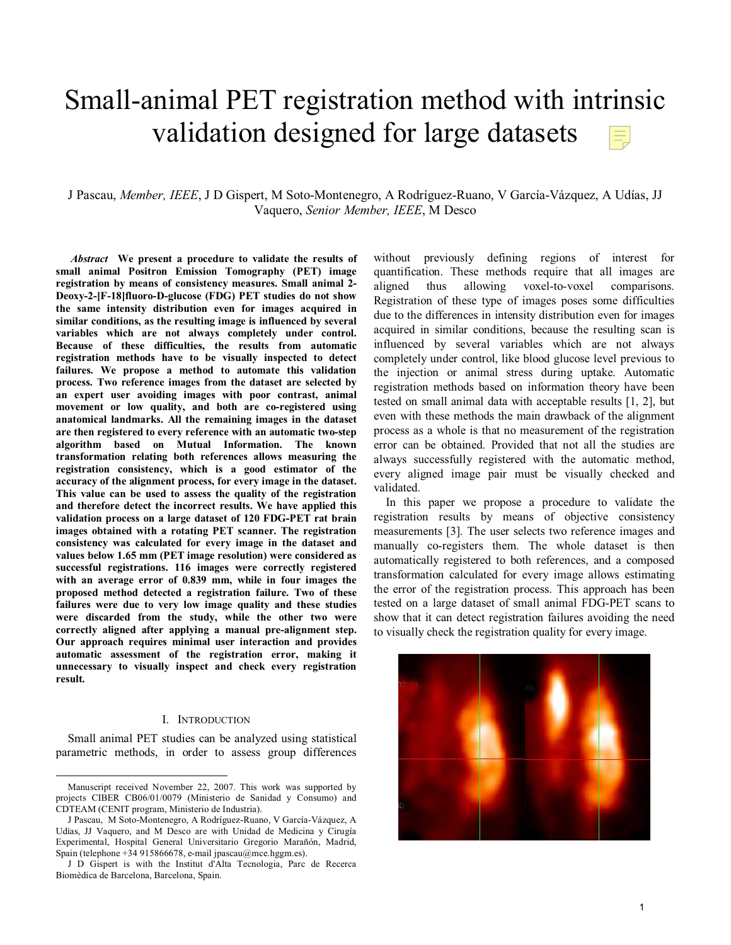# Small-animal PET registration method with intrinsic validation designed for large datasets

# J Pascau, *Member, IEEE*, J D Gispert, M Soto-Montenegro, A Rodríguez-Ruano, V García-Vázquez, A Udías, JJ Vaquero, *Senior Member, IEEE*, M Desco

 *Abstract* **We present a procedure to validate the results of small animal Positron Emission Tomography (PET) image registration by means of consistency measures. Small animal 2- Deoxy-2-[F-18]fluoro-D-glucose (FDG) PET studies do not show the same intensity distribution even for images acquired in similar conditions, as the resulting image is influenced by several variables which are not always completely under control. Because of these difficulties, the results from automatic registration methods have to be visually inspected to detect failures. We propose a method to automate this validation process. Two reference images from the dataset are selected by an expert user avoiding images with poor contrast, animal movement or low quality, and both are co-registered using anatomical landmarks. All the remaining images in the dataset are then registered to every reference with an automatic two-step algorithm based on Mutual Information. The known transformation relating both references allows measuring the registration consistency, which is a good estimator of the accuracy of the alignment process, for every image in the dataset. This value can be used to assess the quality of the registration and therefore detect the incorrect results. We have applied this validation process on a large dataset of 120 FDG-PET rat brain images obtained with a rotating PET scanner. The registration consistency was calculated for every image in the dataset and values below 1.65 mm (PET image resolution) were considered as successful registrations. 116 images were correctly registered with an average error of 0.839 mm, while in four images the proposed method detected a registration failure. Two of these failures were due to very low image quality and these studies were discarded from the study, while the other two were correctly aligned after applying a manual pre-alignment step. Our approach requires minimal user interaction and provides automatic assessment of the registration error, making it unnecessary to visually inspect and check every registration result.** 

# I. INTRODUCTION

Small animal PET studies can be analyzed using statistical parametric methods, in order to assess group differences without previously defining regions of interest for quantification. These methods require that all images are aligned thus allowing voxel-to-voxel comparisons. Registration of these type of images poses some difficulties due to the differences in intensity distribution even for images acquired in similar conditions, because the resulting scan is influenced by several variables which are not always completely under control, like blood glucose level previous to the injection or animal stress during uptake. Automatic registration methods based on information theory have been tested on small animal data with acceptable results [1, 2], but even with these methods the main drawback of the alignment process as a whole is that no measurement of the registration error can be obtained. Provided that not all the studies are always successfully registered with the automatic method, every aligned image pair must be visually checked and validated.

In this paper we propose a procedure to validate the registration results by means of objective consistency measurements [3]. The user selects two reference images and manually co-registers them. The whole dataset is then automatically registered to both references, and a composed transformation calculated for every image allows estimating the error of the registration process. This approach has been tested on a large dataset of small animal FDG-PET scans to show that it can detect registration failures avoiding the need to visually check the registration quality for every image.



Manuscript received November 22, 2007. This work was supported by projects CIBER CB06/01/0079 (Ministerio de Sanidad y Consumo) and CDTEAM (CENIT program, Ministerio de Industria).

J Pascau, M Soto-Montenegro, A Rodríguez-Ruano, V García-Vázquez, A Udías, JJ Vaquero, and M Desco are with Unidad de Medicina y Cirugía Experimental, Hospital General Universitario Gregorio Marañón, Madrid, Spain (telephone +34 915866678, e-mail jpascau@mce.hggm.es).

J D Gispert is with the Institut d'Alta Tecnologia, Parc de Recerca Biomèdica de Barcelona, Barcelona, Spain.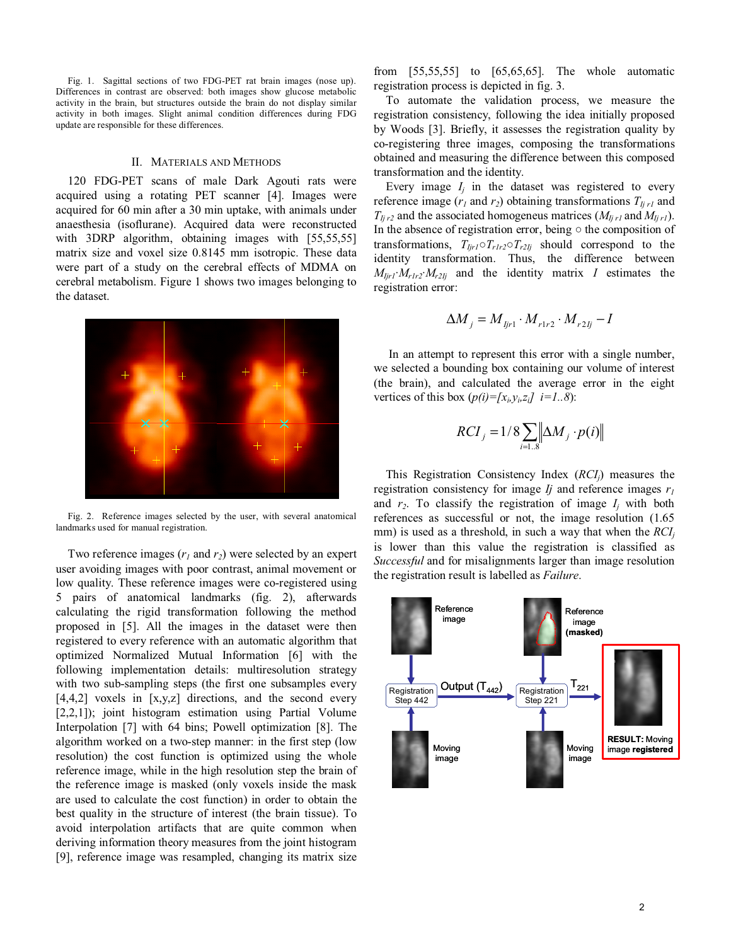Fig. 1. Sagittal sections of two FDG-PET rat brain images (nose up). Differences in contrast are observed: both images show glucose metabolic activity in the brain, but structures outside the brain do not display similar activity in both images. Slight animal condition differences during FDG update are responsible for these differences.

## II. MATERIALS AND METHODS

120 FDG-PET scans of male Dark Agouti rats were acquired using a rotating PET scanner [4]. Images were acquired for 60 min after a 30 min uptake, with animals under anaesthesia (isoflurane). Acquired data were reconstructed with 3DRP algorithm, obtaining images with [55,55,55] matrix size and voxel size 0.8145 mm isotropic. These data were part of a study on the cerebral effects of MDMA on cerebral metabolism. Figure 1 shows two images belonging to the dataset.



Fig. 2. Reference images selected by the user, with several anatomical landmarks used for manual registration.

Two reference images  $(r_1$  and  $r_2)$  were selected by an expert user avoiding images with poor contrast, animal movement or low quality. These reference images were co-registered using 5 pairs of anatomical landmarks (fig. 2), afterwards calculating the rigid transformation following the method proposed in [5]. All the images in the dataset were then registered to every reference with an automatic algorithm that optimized Normalized Mutual Information [6] with the following implementation details: multiresolution strategy with two sub-sampling steps (the first one subsamples every [4,4,2] voxels in [x,y,z] directions, and the second every [2,2,1]); joint histogram estimation using Partial Volume Interpolation [7] with 64 bins; Powell optimization [8]. The algorithm worked on a two-step manner: in the first step (low resolution) the cost function is optimized using the whole reference image, while in the high resolution step the brain of the reference image is masked (only voxels inside the mask are used to calculate the cost function) in order to obtain the best quality in the structure of interest (the brain tissue). To avoid interpolation artifacts that are quite common when deriving information theory measures from the joint histogram [9], reference image was resampled, changing its matrix size from [55,55,55] to [65,65,65]. The whole automatic registration process is depicted in fig. 3.

To automate the validation process, we measure the registration consistency, following the idea initially proposed by Woods [3]. Briefly, it assesses the registration quality by co-registering three images, composing the transformations obtained and measuring the difference between this composed transformation and the identity.

Every image  $I_i$  in the dataset was registered to every reference image  $(r_1 \text{ and } r_2)$  obtaining transformations  $T_{Ijrl}$  and  $T_{Ij r2}$  and the associated homogeneus matrices ( $M_{Ij r1}$  and  $M_{Ij r1}$ ). In the absence of registration error, being  $\circ$  the composition of transformations,  $T_{Ijrl} \circ T_{rlr2} \circ T_{r2Ij}$  should correspond to the identity transformation. Thus, the difference between  $M_{Ijrl} \cdot M_{r1r2} \cdot M_{r2Ij}$  and the identity matrix *I* estimates the registration error:

$$
\Delta M_j = M_{ljr1} \cdot M_{r1r2} \cdot M_{r2lj} - I
$$

 In an attempt to represent this error with a single number, we selected a bounding box containing our volume of interest (the brain), and calculated the average error in the eight vertices of this box  $(p(i) = [x_i, y_i, z_i]$  *i*=1..8):

$$
RCI_j = 1/8 \sum_{i=1..8} \left\| \Delta M_j \cdot p(i) \right\|
$$

This Registration Consistency Index (*RCIj*) measures the registration consistency for image *Ij* and reference images *r1* and  $r_2$ . To classify the registration of image  $I_i$  with both references as successful or not, the image resolution (1.65 mm) is used as a threshold, in such a way that when the  $RCI_i$ is lower than this value the registration is classified as *Successful* and for misalignments larger than image resolution the registration result is labelled as *Failure*.